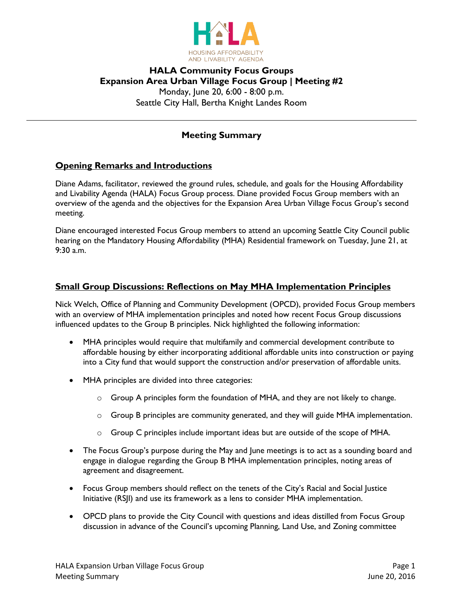

# **HALA Community Focus Groups Expansion Area Urban Village Focus Group | Meeting #2** Monday, June 20, 6:00 - 8:00 p.m. Seattle City Hall, Bertha Knight Landes Room

## **Meeting Summary**

## **Opening Remarks and Introductions**

Diane Adams, facilitator, reviewed the ground rules, schedule, and goals for the Housing Affordability and Livability Agenda (HALA) Focus Group process. Diane provided Focus Group members with an overview of the agenda and the objectives for the Expansion Area Urban Village Focus Group's second meeting.

Diane encouraged interested Focus Group members to attend an upcoming Seattle City Council public hearing on the Mandatory Housing Affordability (MHA) Residential framework on Tuesday, June 21, at 9:30 a.m.

## **Small Group Discussions: Reflections on May MHA Implementation Principles**

Nick Welch, Office of Planning and Community Development (OPCD), provided Focus Group members with an overview of MHA implementation principles and noted how recent Focus Group discussions influenced updates to the Group B principles. Nick highlighted the following information:

- MHA principles would require that multifamily and commercial development contribute to affordable housing by either incorporating additional affordable units into construction or paying into a City fund that would support the construction and/or preservation of affordable units.
- MHA principles are divided into three categories:
	- $\circ$  Group A principles form the foundation of MHA, and they are not likely to change.
	- $\circ$  Group B principles are community generated, and they will guide MHA implementation.
	- $\circ$  Group C principles include important ideas but are outside of the scope of MHA.
- The Focus Group's purpose during the May and June meetings is to act as a sounding board and engage in dialogue regarding the Group B MHA implementation principles, noting areas of agreement and disagreement.
- Focus Group members should reflect on the tenets of the City's Racial and Social Justice Initiative (RSJI) and use its framework as a lens to consider MHA implementation.
- OPCD plans to provide the City Council with questions and ideas distilled from Focus Group discussion in advance of the Council's upcoming Planning, Land Use, and Zoning committee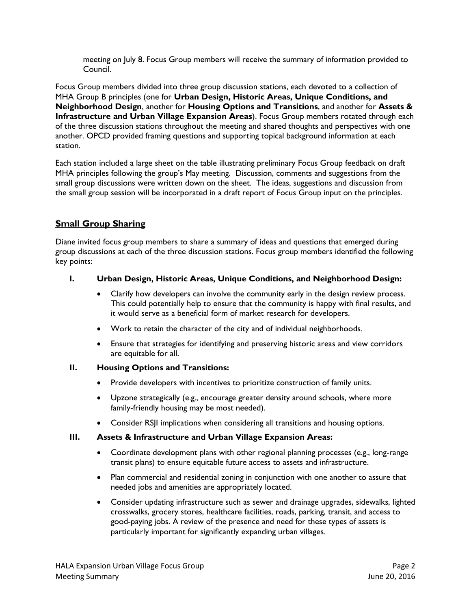meeting on July 8. Focus Group members will receive the summary of information provided to Council.

Focus Group members divided into three group discussion stations, each devoted to a collection of MHA Group B principles (one for **Urban Design, Historic Areas, Unique Conditions, and Neighborhood Design**, another for **Housing Options and Transitions**, and another for **Assets & Infrastructure and Urban Village Expansion Areas**). Focus Group members rotated through each of the three discussion stations throughout the meeting and shared thoughts and perspectives with one another. OPCD provided framing questions and supporting topical background information at each station.

Each station included a large sheet on the table illustrating preliminary Focus Group feedback on draft MHA principles following the group's May meeting. Discussion, comments and suggestions from the small group discussions were written down on the sheet. The ideas, suggestions and discussion from the small group session will be incorporated in a draft report of Focus Group input on the principles.

# **Small Group Sharing**

Diane invited focus group members to share a summary of ideas and questions that emerged during group discussions at each of the three discussion stations. Focus group members identified the following key points:

## **I. Urban Design, Historic Areas, Unique Conditions, and Neighborhood Design:**

- Clarify how developers can involve the community early in the design review process. This could potentially help to ensure that the community is happy with final results, and it would serve as a beneficial form of market research for developers.
- Work to retain the character of the city and of individual neighborhoods.
- Ensure that strategies for identifying and preserving historic areas and view corridors are equitable for all.

#### **II. Housing Options and Transitions:**

- Provide developers with incentives to prioritize construction of family units.
- Upzone strategically (e.g., encourage greater density around schools, where more family-friendly housing may be most needed).
- Consider RSJI implications when considering all transitions and housing options.

#### **III. Assets & Infrastructure and Urban Village Expansion Areas:**

- Coordinate development plans with other regional planning processes (e.g., long-range transit plans) to ensure equitable future access to assets and infrastructure.
- Plan commercial and residential zoning in conjunction with one another to assure that needed jobs and amenities are appropriately located.
- Consider updating infrastructure such as sewer and drainage upgrades, sidewalks, lighted crosswalks, grocery stores, healthcare facilities, roads, parking, transit, and access to good-paying jobs. A review of the presence and need for these types of assets is particularly important for significantly expanding urban villages.